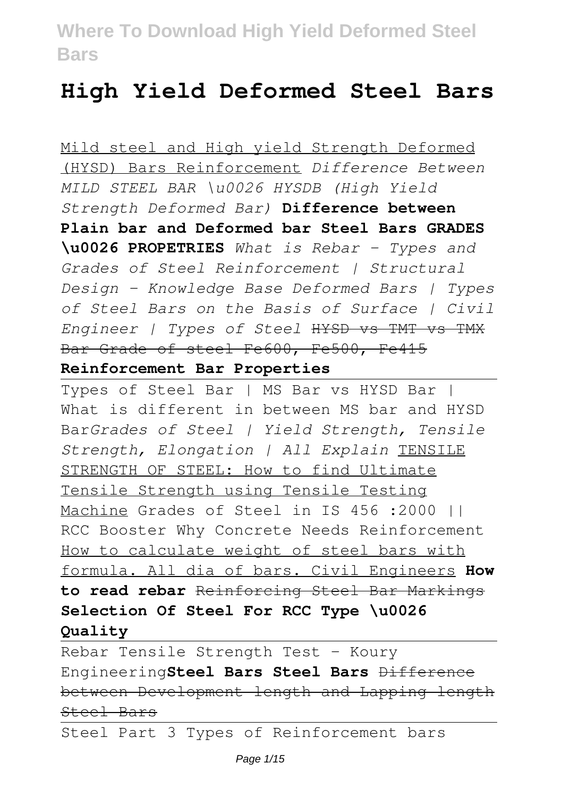# **High Yield Deformed Steel Bars**

Mild steel and High yield Strength Deformed (HYSD) Bars Reinforcement *Difference Between MILD STEEL BAR \u0026 HYSDB (High Yield Strength Deformed Bar)* **Difference between Plain bar and Deformed bar Steel Bars GRADES \u0026 PROPETRIES** *What is Rebar - Types and Grades of Steel Reinforcement | Structural Design - Knowledge Base Deformed Bars | Types of Steel Bars on the Basis of Surface | Civil Engineer | Types of Steel* HYSD vs TMT vs TMX Bar Grade of steel Fe600, Fe500, Fe415 **Reinforcement Bar Properties**

Types of Steel Bar | MS Bar vs HYSD Bar | What is different in between MS bar and HYSD Bar*Grades of Steel | Yield Strength, Tensile Strength, Elongation | All Explain* TENSILE STRENGTH OF STEEL: How to find Ultimate Tensile Strength using Tensile Testing Machine Grades of Steel in IS 456 :2000 || RCC Booster Why Concrete Needs Reinforcement How to calculate weight of steel bars with formula. All dia of bars. Civil Engineers **How to read rebar** Reinforcing Steel Bar Markings **Selection Of Steel For RCC Type \u0026 Quality**

Rebar Tensile Strength Test - Koury Engineering**Steel Bars Steel Bars** Difference between Development length and Lapping length Steel Bars

Steel Part 3 Types of Reinforcement bars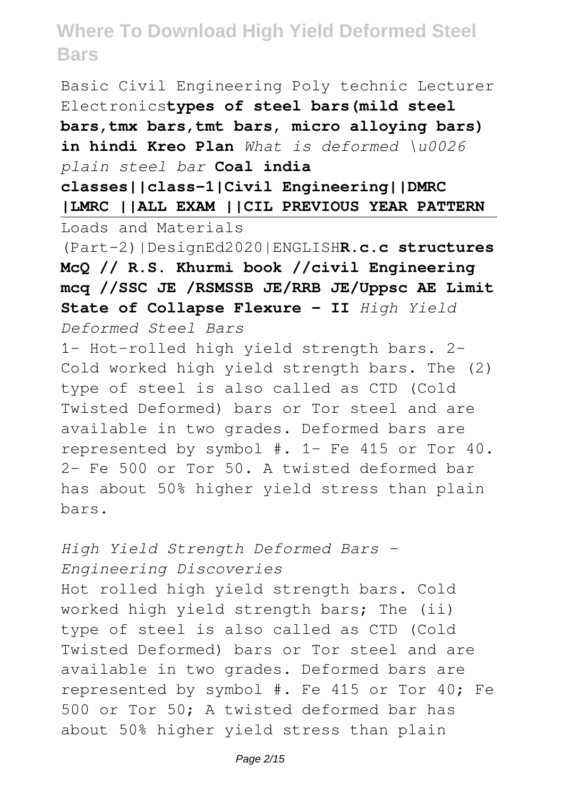Basic Civil Engineering Poly technic Lecturer Electronics**types of steel bars(mild steel bars,tmx bars,tmt bars, micro alloying bars) in hindi Kreo Plan** *What is deformed \u0026 plain steel bar* **Coal india**

**classes||class-1|Civil Engineering||DMRC |LMRC ||ALL EXAM ||CIL PREVIOUS YEAR PATTERN** Loads and Materials

(Part-2)|DesignEd2020|ENGLISH**R.c.c structures McQ // R.S. Khurmi book //civil Engineering mcq //SSC JE /RSMSSB JE/RRB JE/Uppsc AE Limit State of Collapse Flexure - II** *High Yield*

*Deformed Steel Bars*

1- Hot-rolled high yield strength bars. 2- Cold worked high yield strength bars. The (2) type of steel is also called as CTD (Cold Twisted Deformed) bars or Tor steel and are available in two grades. Deformed bars are represented by symbol #. 1- Fe 415 or Tor 40. 2- Fe 500 or Tor 50. A twisted deformed bar has about 50% higher yield stress than plain bars.

*High Yield Strength Deformed Bars - Engineering Discoveries*

Hot rolled high yield strength bars. Cold worked high yield strength bars; The (ii) type of steel is also called as CTD (Cold Twisted Deformed) bars or Tor steel and are available in two grades. Deformed bars are represented by symbol #. Fe 415 or Tor 40; Fe 500 or Tor 50; A twisted deformed bar has about 50% higher yield stress than plain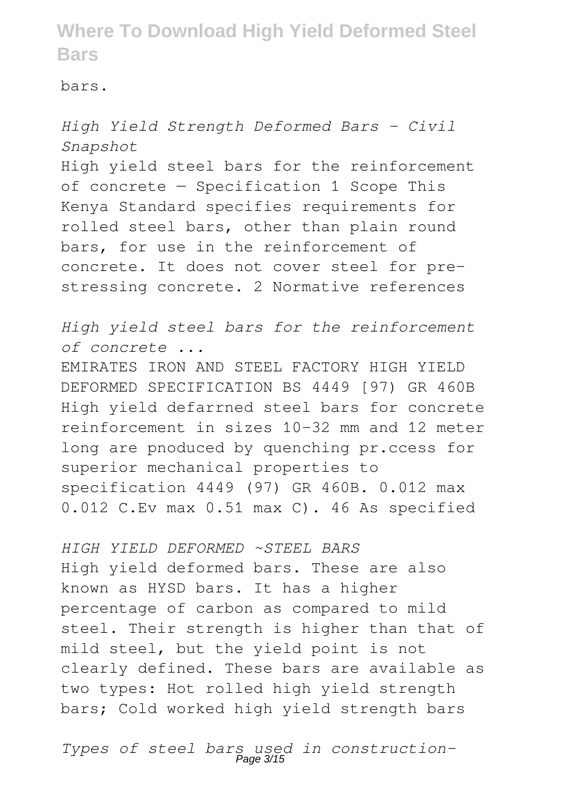bars.

*High Yield Strength Deformed Bars - Civil Snapshot* High yield steel bars for the reinforcement of concrete — Specification 1 Scope This Kenya Standard specifies requirements for rolled steel bars, other than plain round bars, for use in the reinforcement of concrete. It does not cover steel for prestressing concrete. 2 Normative references

*High yield steel bars for the reinforcement of concrete ...*

EMIRATES IRON AND STEEL FACTORY HIGH YIELD DEFORMED SPECIFICATION BS 4449 [97) GR 460B High yield defarrned steel bars for concrete reinforcement in sizes 10-32 mm and 12 meter long are pnoduced by quenching pr.ccess for superior mechanical properties to specification 4449 (97) GR 460B. 0.012 max 0.012 C.Ev max 0.51 max C). 46 As specified

*HIGH YIELD DEFORMED ~STEEL BARS* High yield deformed bars. These are also known as HYSD bars. It has a higher percentage of carbon as compared to mild steel. Their strength is higher than that of mild steel, but the yield point is not clearly defined. These bars are available as two types: Hot rolled high yield strength bars; Cold worked high yield strength bars

*Types of steel bars used in construction-*Page 3/15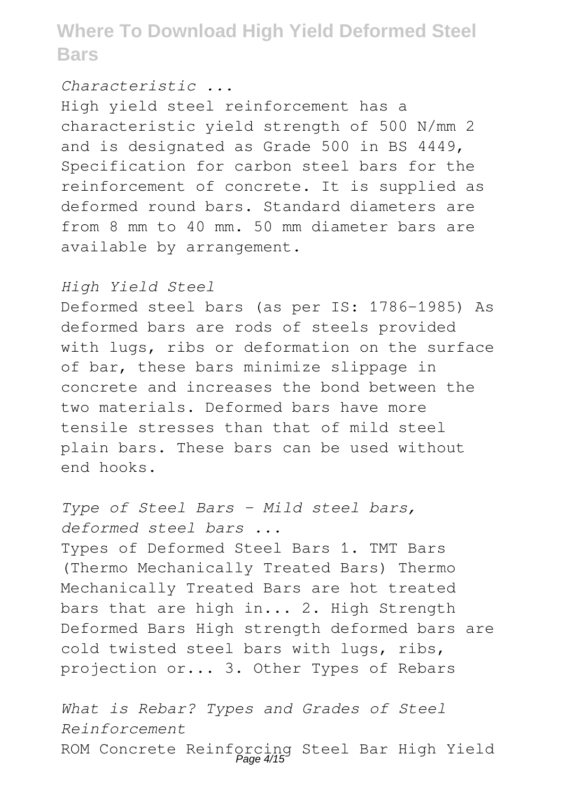#### *Characteristic ...*

High yield steel reinforcement has a characteristic yield strength of 500 N/mm 2 and is designated as Grade 500 in BS 4449, Specification for carbon steel bars for the reinforcement of concrete. It is supplied as deformed round bars. Standard diameters are from 8 mm to 40 mm. 50 mm diameter bars are available by arrangement.

### *High Yield Steel*

Deformed steel bars (as per IS: 1786-1985) As deformed bars are rods of steels provided with lugs, ribs or deformation on the surface of bar, these bars minimize slippage in concrete and increases the bond between the two materials. Deformed bars have more tensile stresses than that of mild steel plain bars. These bars can be used without end hooks.

*Type of Steel Bars - Mild steel bars, deformed steel bars ...* Types of Deformed Steel Bars 1. TMT Bars (Thermo Mechanically Treated Bars) Thermo Mechanically Treated Bars are hot treated bars that are high in... 2. High Strength Deformed Bars High strength deformed bars are cold twisted steel bars with lugs, ribs, projection or... 3. Other Types of Rebars

*What is Rebar? Types and Grades of Steel Reinforcement* ROM Concrete Reinforcing Steel Bar High Yield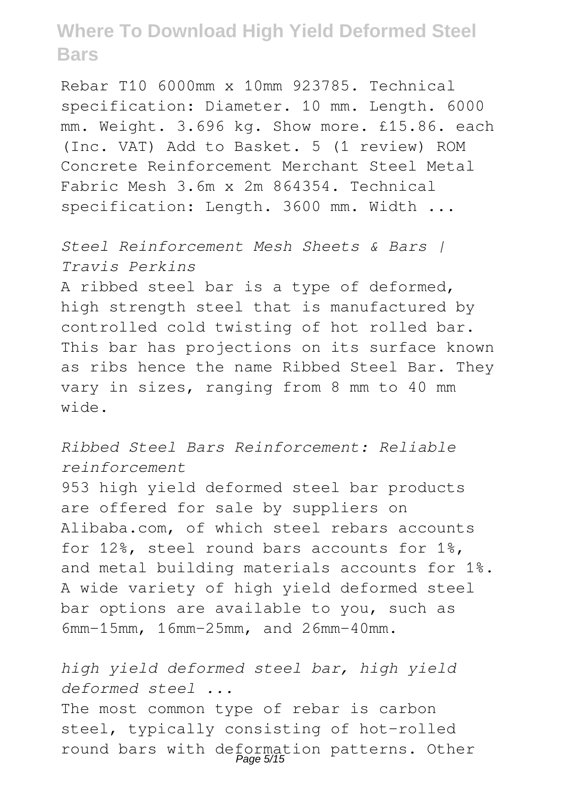Rebar T10 6000mm x 10mm 923785. Technical specification: Diameter. 10 mm. Length. 6000 mm. Weight. 3.696 kg. Show more. £15.86. each (Inc. VAT) Add to Basket. 5 (1 review) ROM Concrete Reinforcement Merchant Steel Metal Fabric Mesh 3.6m x 2m 864354. Technical specification: Length. 3600 mm. Width ...

*Steel Reinforcement Mesh Sheets & Bars | Travis Perkins* A ribbed steel bar is a type of deformed, high strength steel that is manufactured by controlled cold twisting of hot rolled bar. This bar has projections on its surface known as ribs hence the name Ribbed Steel Bar. They vary in sizes, ranging from 8 mm to 40 mm wide.

*Ribbed Steel Bars Reinforcement: Reliable reinforcement*

953 high yield deformed steel bar products are offered for sale by suppliers on Alibaba.com, of which steel rebars accounts for 12%, steel round bars accounts for 1%, and metal building materials accounts for 1%. A wide variety of high yield deformed steel bar options are available to you, such as 6mm-15mm, 16mm-25mm, and 26mm-40mm.

*high yield deformed steel bar, high yield deformed steel ...*

The most common type of rebar is carbon steel, typically consisting of hot-rolled round bars with deformation patterns. Other Page 5/15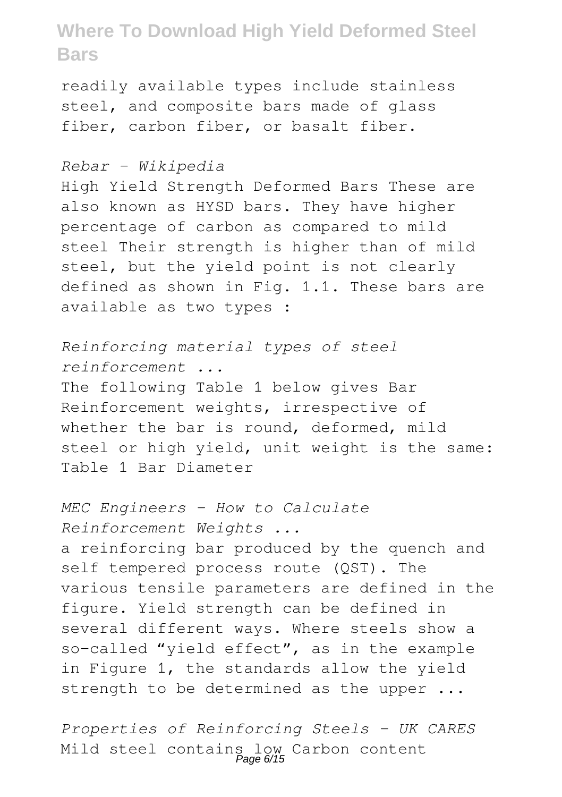readily available types include stainless steel, and composite bars made of glass fiber, carbon fiber, or basalt fiber.

#### *Rebar - Wikipedia*

High Yield Strength Deformed Bars These are also known as HYSD bars. They have higher percentage of carbon as compared to mild steel Their strength is higher than of mild steel, but the yield point is not clearly defined as shown in Fig. 1.1. These bars are available as two types :

*Reinforcing material types of steel reinforcement ...* The following Table 1 below gives Bar Reinforcement weights, irrespective of whether the bar is round, deformed, mild steel or high yield, unit weight is the same: Table 1 Bar Diameter

*MEC Engineers - How to Calculate Reinforcement Weights ...* a reinforcing bar produced by the quench and self tempered process route (QST). The various tensile parameters are defined in the figure. Yield strength can be defined in several different ways. Where steels show a so-called "yield effect", as in the example in Figure 1, the standards allow the yield strength to be determined as the upper ...

*Properties of Reinforcing Steels - UK CARES* Mild steel contains low Carbon content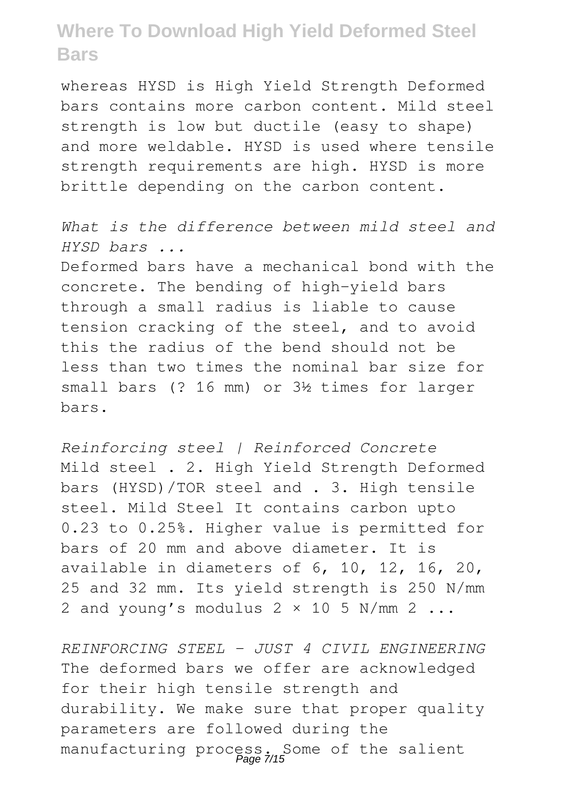whereas HYSD is High Yield Strength Deformed bars contains more carbon content. Mild steel strength is low but ductile (easy to shape) and more weldable. HYSD is used where tensile strength requirements are high. HYSD is more brittle depending on the carbon content.

*What is the difference between mild steel and HYSD bars ...*

Deformed bars have a mechanical bond with the concrete. The bending of high-yield bars through a small radius is liable to cause tension cracking of the steel, and to avoid this the radius of the bend should not be less than two times the nominal bar size for small bars (? 16 mm) or 3½ times for larger bars.

*Reinforcing steel | Reinforced Concrete* Mild steel . 2. High Yield Strength Deformed bars (HYSD)/TOR steel and . 3. High tensile steel. Mild Steel It contains carbon upto 0.23 to 0.25%. Higher value is permitted for bars of 20 mm and above diameter. It is available in diameters of 6, 10, 12, 16, 20, 25 and 32 mm. Its yield strength is 250 N/mm 2 and young's modulus  $2 \times 10$  5 N/mm 2 ...

*REINFORCING STEEL - JUST 4 CIVIL ENGINEERING* The deformed bars we offer are acknowledged for their high tensile strength and durability. We make sure that proper quality parameters are followed during the manufacturing process. Some of the salient<br>Page 7/15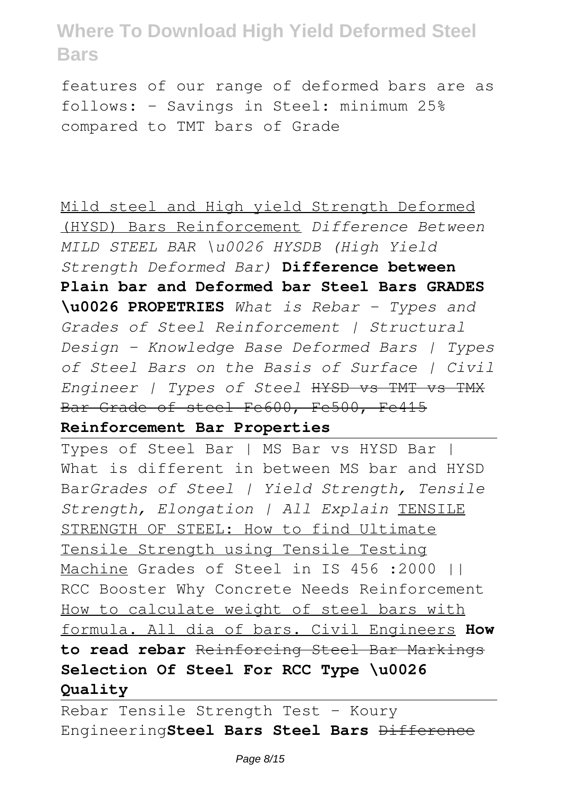features of our range of deformed bars are as follows: - Savings in Steel: minimum 25% compared to TMT bars of Grade

Mild steel and High yield Strength Deformed (HYSD) Bars Reinforcement *Difference Between MILD STEEL BAR \u0026 HYSDB (High Yield Strength Deformed Bar)* **Difference between Plain bar and Deformed bar Steel Bars GRADES \u0026 PROPETRIES** *What is Rebar - Types and Grades of Steel Reinforcement | Structural Design - Knowledge Base Deformed Bars | Types of Steel Bars on the Basis of Surface | Civil Engineer | Types of Steel* HYSD vs TMT vs TMX Bar Grade of steel Fe600, Fe500, Fe415

### **Reinforcement Bar Properties**

Types of Steel Bar | MS Bar vs HYSD Bar | What is different in between MS bar and HYSD Bar*Grades of Steel | Yield Strength, Tensile Strength, Elongation | All Explain* TENSILE STRENGTH OF STEEL: How to find Ultimate Tensile Strength using Tensile Testing Machine Grades of Steel in IS 456 :2000 || RCC Booster Why Concrete Needs Reinforcement How to calculate weight of steel bars with formula. All dia of bars. Civil Engineers **How to read rebar** Reinforcing Steel Bar Markings **Selection Of Steel For RCC Type \u0026 Quality**

Rebar Tensile Strength Test - Koury Engineering**Steel Bars Steel Bars** Difference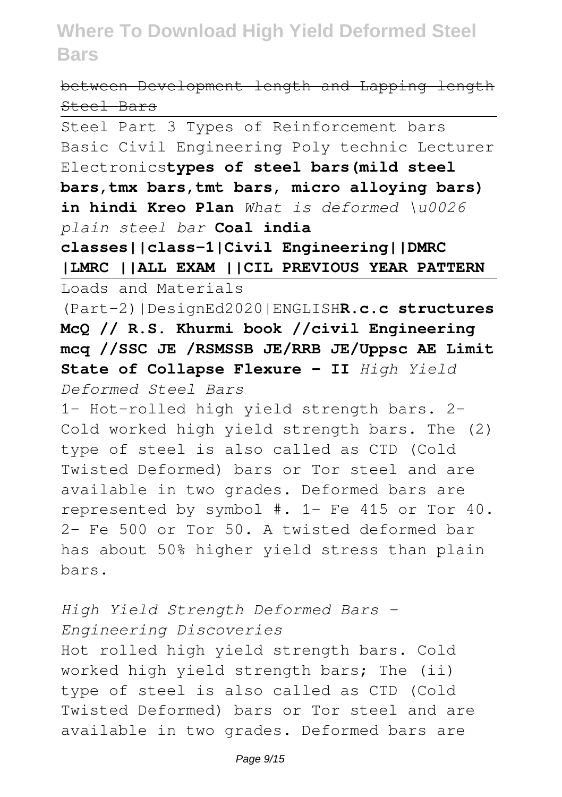### between Development length and Lapping length Steel Bars

Steel Part 3 Types of Reinforcement bars Basic Civil Engineering Poly technic Lecturer Electronics**types of steel bars(mild steel bars,tmx bars,tmt bars, micro alloying bars) in hindi Kreo Plan** *What is deformed \u0026 plain steel bar* **Coal india classes||class-1|Civil Engineering||DMRC |LMRC ||ALL EXAM ||CIL PREVIOUS YEAR PATTERN** Loads and Materials (Part-2)|DesignEd2020|ENGLISH**R.c.c structures McQ // R.S. Khurmi book //civil Engineering mcq //SSC JE /RSMSSB JE/RRB JE/Uppsc AE Limit State of Collapse Flexure - II** *High Yield Deformed Steel Bars* 1- Hot-rolled high yield strength bars. 2- Cold worked high yield strength bars. The (2) type of steel is also called as CTD (Cold Twisted Deformed) bars or Tor steel and are available in two grades. Deformed bars are represented by symbol #. 1- Fe 415 or Tor 40. 2- Fe 500 or Tor 50. A twisted deformed bar has about 50% higher yield stress than plain bars. *High Yield Strength Deformed Bars -*

*Engineering Discoveries* Hot rolled high yield strength bars. Cold worked high yield strength bars; The (ii) type of steel is also called as CTD (Cold Twisted Deformed) bars or Tor steel and are available in two grades. Deformed bars are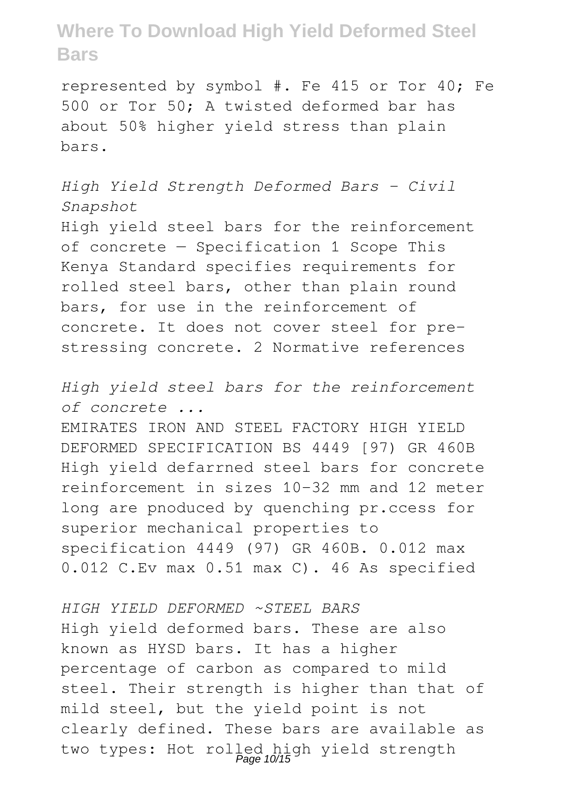represented by symbol #. Fe 415 or Tor 40; Fe 500 or Tor 50; A twisted deformed bar has about 50% higher yield stress than plain bars.

*High Yield Strength Deformed Bars - Civil Snapshot*

High yield steel bars for the reinforcement of concrete — Specification 1 Scope This Kenya Standard specifies requirements for rolled steel bars, other than plain round bars, for use in the reinforcement of concrete. It does not cover steel for prestressing concrete. 2 Normative references

*High yield steel bars for the reinforcement of concrete ...*

EMIRATES IRON AND STEEL FACTORY HIGH YIELD DEFORMED SPECIFICATION BS 4449 [97) GR 460B High yield defarrned steel bars for concrete reinforcement in sizes 10-32 mm and 12 meter long are pnoduced by quenching pr.ccess for superior mechanical properties to specification 4449 (97) GR 460B. 0.012 max 0.012 C.Ev max 0.51 max C). 46 As specified

*HIGH YIELD DEFORMED ~STEEL BARS* High yield deformed bars. These are also known as HYSD bars. It has a higher percentage of carbon as compared to mild steel. Their strength is higher than that of mild steel, but the yield point is not clearly defined. These bars are available as two types: Hot rolled high yield strength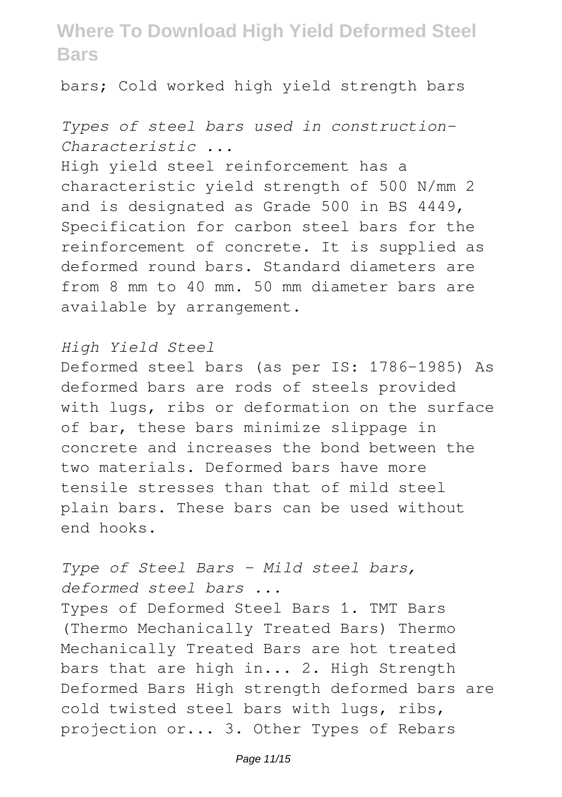bars; Cold worked high yield strength bars

### *Types of steel bars used in construction-Characteristic ...*

High yield steel reinforcement has a characteristic yield strength of 500 N/mm 2 and is designated as Grade 500 in BS 4449, Specification for carbon steel bars for the reinforcement of concrete. It is supplied as deformed round bars. Standard diameters are from 8 mm to 40 mm. 50 mm diameter bars are available by arrangement.

#### *High Yield Steel*

Deformed steel bars (as per IS: 1786-1985) As deformed bars are rods of steels provided with lugs, ribs or deformation on the surface of bar, these bars minimize slippage in concrete and increases the bond between the two materials. Deformed bars have more tensile stresses than that of mild steel plain bars. These bars can be used without end hooks.

### *Type of Steel Bars - Mild steel bars, deformed steel bars ...*

Types of Deformed Steel Bars 1. TMT Bars (Thermo Mechanically Treated Bars) Thermo Mechanically Treated Bars are hot treated bars that are high in... 2. High Strength Deformed Bars High strength deformed bars are cold twisted steel bars with lugs, ribs, projection or... 3. Other Types of Rebars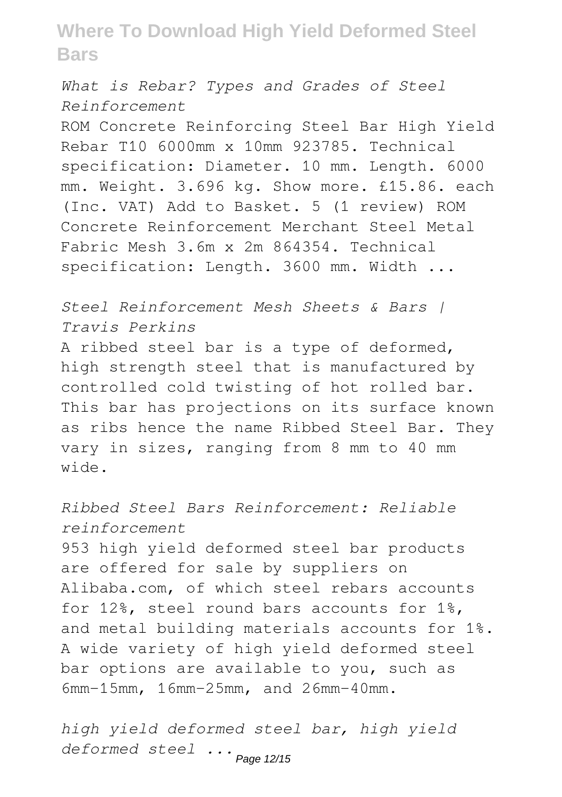*What is Rebar? Types and Grades of Steel Reinforcement*

ROM Concrete Reinforcing Steel Bar High Yield Rebar T10 6000mm x 10mm 923785. Technical specification: Diameter. 10 mm. Length. 6000 mm. Weight. 3.696 kg. Show more. £15.86. each (Inc. VAT) Add to Basket. 5 (1 review) ROM Concrete Reinforcement Merchant Steel Metal Fabric Mesh 3.6m x 2m 864354. Technical specification: Length. 3600 mm. Width ...

*Steel Reinforcement Mesh Sheets & Bars | Travis Perkins* A ribbed steel bar is a type of deformed, high strength steel that is manufactured by controlled cold twisting of hot rolled bar. This bar has projections on its surface known as ribs hence the name Ribbed Steel Bar. They vary in sizes, ranging from 8 mm to 40 mm wide.

*Ribbed Steel Bars Reinforcement: Reliable reinforcement* 953 high yield deformed steel bar products are offered for sale by suppliers on Alibaba.com, of which steel rebars accounts for 12%, steel round bars accounts for 1%, and metal building materials accounts for 1%. A wide variety of high yield deformed steel bar options are available to you, such as 6mm-15mm, 16mm-25mm, and 26mm-40mm.

*high yield deformed steel bar, high yield deformed steel ...* Page 12/15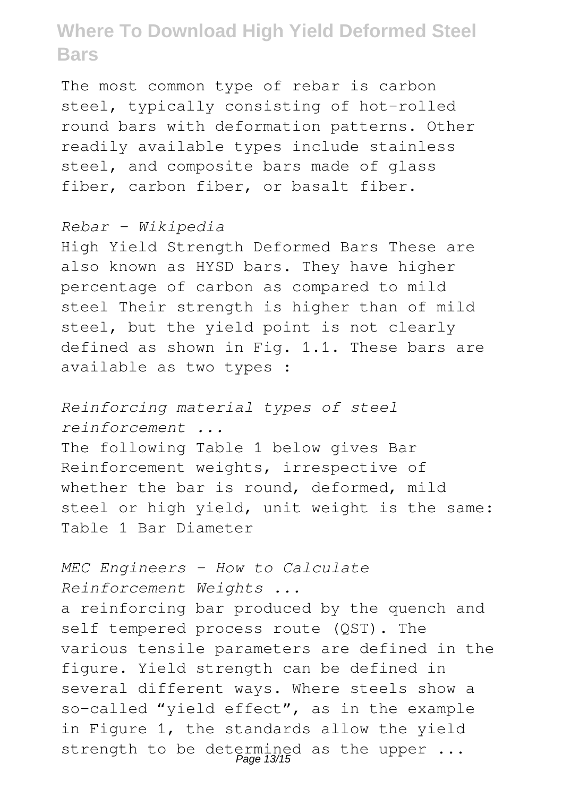The most common type of rebar is carbon steel, typically consisting of hot-rolled round bars with deformation patterns. Other readily available types include stainless steel, and composite bars made of glass fiber, carbon fiber, or basalt fiber.

### *Rebar - Wikipedia*

High Yield Strength Deformed Bars These are also known as HYSD bars. They have higher percentage of carbon as compared to mild steel Their strength is higher than of mild steel, but the yield point is not clearly defined as shown in Fig. 1.1. These bars are available as two types :

*Reinforcing material types of steel*

*reinforcement ...*

The following Table 1 below gives Bar Reinforcement weights, irrespective of whether the bar is round, deformed, mild steel or high yield, unit weight is the same: Table 1 Bar Diameter

*MEC Engineers - How to Calculate Reinforcement Weights ...*

a reinforcing bar produced by the quench and self tempered process route (QST). The various tensile parameters are defined in the figure. Yield strength can be defined in several different ways. Where steels show a so-called "yield effect", as in the example in Figure 1, the standards allow the yield strength to be determined as the upper ...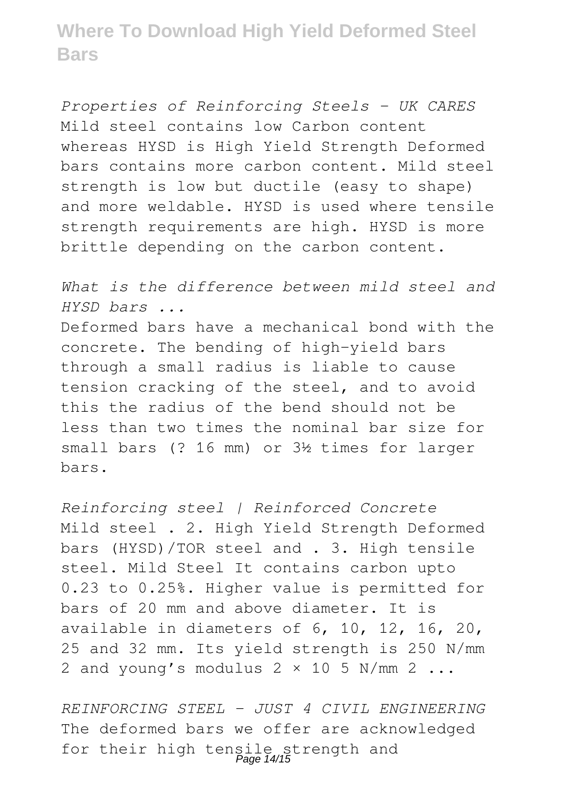*Properties of Reinforcing Steels - UK CARES* Mild steel contains low Carbon content whereas HYSD is High Yield Strength Deformed bars contains more carbon content. Mild steel strength is low but ductile (easy to shape) and more weldable. HYSD is used where tensile strength requirements are high. HYSD is more brittle depending on the carbon content.

*What is the difference between mild steel and HYSD bars ...*

Deformed bars have a mechanical bond with the concrete. The bending of high-yield bars through a small radius is liable to cause tension cracking of the steel, and to avoid this the radius of the bend should not be less than two times the nominal bar size for small bars (? 16 mm) or 3½ times for larger bars.

*Reinforcing steel | Reinforced Concrete* Mild steel . 2. High Yield Strength Deformed bars (HYSD)/TOR steel and . 3. High tensile steel. Mild Steel It contains carbon upto 0.23 to 0.25%. Higher value is permitted for bars of 20 mm and above diameter. It is available in diameters of 6, 10, 12, 16, 20, 25 and 32 mm. Its yield strength is 250 N/mm 2 and young's modulus  $2 \times 10$  5 N/mm 2 ...

*REINFORCING STEEL - JUST 4 CIVIL ENGINEERING* The deformed bars we offer are acknowledged for their high tensile strength and Page 14/15